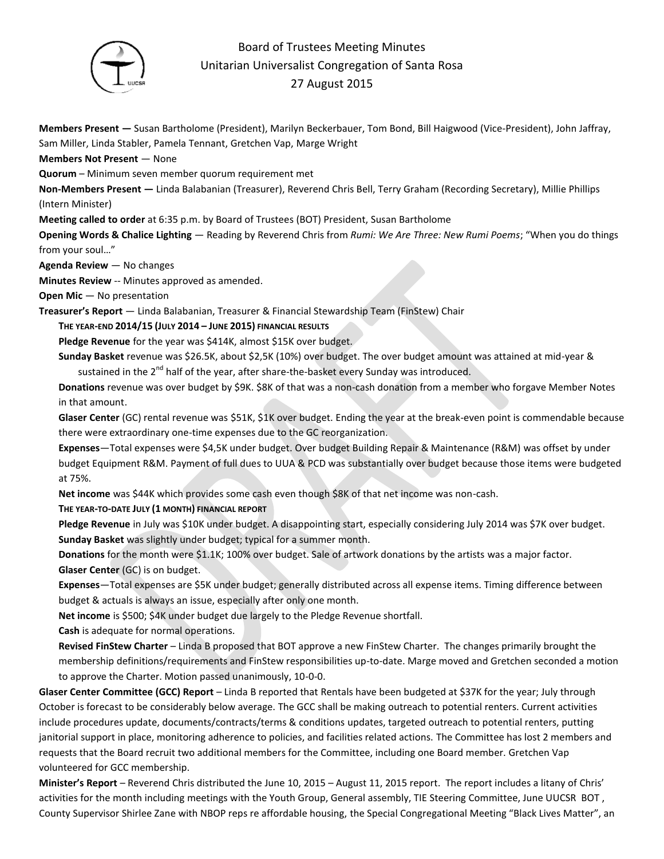

## Board of Trustees Meeting Minutes Unitarian Universalist Congregation of Santa Rosa 27 August 2015

**Members Present —** Susan Bartholome (President), Marilyn Beckerbauer, Tom Bond, Bill Haigwood (Vice-President), John Jaffray, Sam Miller, Linda Stabler, Pamela Tennant, Gretchen Vap, Marge Wright

**Members Not Present** — None

**Quorum** – Minimum seven member quorum requirement met

**Non-Members Present —** Linda Balabanian (Treasurer), Reverend Chris Bell, Terry Graham (Recording Secretary), Millie Phillips (Intern Minister)

**Meeting called to order** at 6:35 p.m. by Board of Trustees (BOT) President, Susan Bartholome

**Opening Words & Chalice Lighting** — Reading by Reverend Chris from *Rumi: We Are Three: New Rumi Poems*; "When you do things from your soul…"

**Agenda Review** — No changes

**Minutes Review** -- Minutes approved as amended.

**Open Mic** — No presentation

**Treasurer's Report** — Linda Balabanian, Treasurer & Financial Stewardship Team (FinStew) Chair

**THE YEAR-END 2014/15 (JULY 2014 – JUNE 2015) FINANCIAL RESULTS**

Pledge Revenue for the year was \$414K, almost \$15K over budget.

**Sunday Basket** revenue was \$26.5K, about \$2,5K (10%) over budget. The over budget amount was attained at mid-year & sustained in the 2<sup>nd</sup> half of the year, after share-the-basket every Sunday was introduced.

**Donations** revenue was over budget by \$9K. \$8K of that was a non-cash donation from a member who forgave Member Notes in that amount.

**Glaser Center** (GC) rental revenue was \$51K, \$1K over budget. Ending the year at the break-even point is commendable because there were extraordinary one-time expenses due to the GC reorganization.

**Expenses**—Total expenses were \$4,5K under budget. Over budget Building Repair & Maintenance (R&M) was offset by under budget Equipment R&M. Payment of full dues to UUA & PCD was substantially over budget because those items were budgeted at 75%.

**Net income** was \$44K which provides some cash even though \$8K of that net income was non-cash.

**THE YEAR-TO-DATE JULY (1 MONTH) FINANCIAL REPORT**

**Pledge Revenue** in July was \$10K under budget. A disappointing start, especially considering July 2014 was \$7K over budget. **Sunday Basket** was slightly under budget; typical for a summer month.

**Donations** for the month were \$1.1K; 100% over budget. Sale of artwork donations by the artists was a major factor. **Glaser Center** (GC) is on budget.

**Expenses**—Total expenses are \$5K under budget; generally distributed across all expense items. Timing difference between budget & actuals is always an issue, especially after only one month.

**Net income** is \$500; \$4K under budget due largely to the Pledge Revenue shortfall.

**Cash** is adequate for normal operations.

**Revised FinStew Charter** – Linda B proposed that BOT approve a new FinStew Charter. The changes primarily brought the membership definitions/requirements and FinStew responsibilities up-to-date. Marge moved and Gretchen seconded a motion to approve the Charter. Motion passed unanimously, 10-0-0.

**Glaser Center Committee (GCC) Report** – Linda B reported that Rentals have been budgeted at \$37K for the year; July through October is forecast to be considerably below average. The GCC shall be making outreach to potential renters. Current activities include procedures update, documents/contracts/terms & conditions updates, targeted outreach to potential renters, putting janitorial support in place, monitoring adherence to policies, and facilities related actions. The Committee has lost 2 members and requests that the Board recruit two additional members for the Committee, including one Board member. Gretchen Vap volunteered for GCC membership.

**Minister's Report** – Reverend Chris distributed the June 10, 2015 – August 11, 2015 report. The report includes a litany of Chris' activities for the month including meetings with the Youth Group, General assembly, TIE Steering Committee, June UUCSR BOT , County Supervisor Shirlee Zane with NBOP reps re affordable housing, the Special Congregational Meeting "Black Lives Matter", an